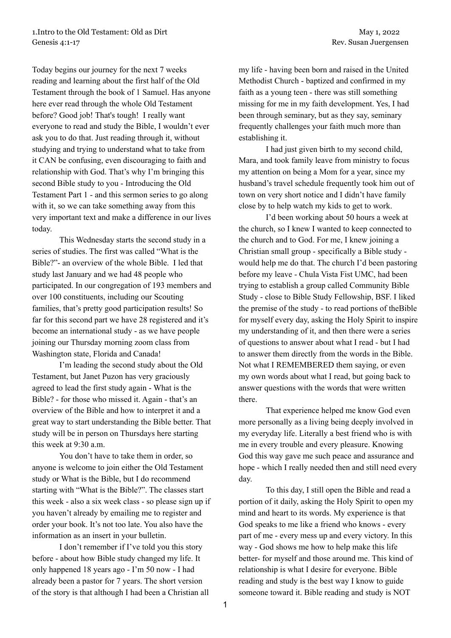Today begins our journey for the next 7 weeks reading and learning about the first half of the Old Testament through the book of 1 Samuel. Has anyone here ever read through the whole Old Testament before? Good job! That's tough! I really want everyone to read and study the Bible, I wouldn't ever ask you to do that. Just reading through it, without studying and trying to understand what to take from it CAN be confusing, even discouraging to faith and relationship with God. That's why I'm bringing this second Bible study to you - Introducing the Old Testament Part 1 - and this sermon series to go along with it, so we can take something away from this very important text and make a difference in our lives today.

This Wednesday starts the second study in a series of studies. The first was called "What is the Bible?"- an overview of the whole Bible. I led that study last January and we had 48 people who participated. In our congregation of 193 members and over 100 constituents, including our Scouting families, that's pretty good participation results! So far for this second part we have 28 registered and it's become an international study - as we have people joining our Thursday morning zoom class from Washington state, Florida and Canada!

I'm leading the second study about the Old Testament, but Janet Puzon has very graciously agreed to lead the first study again - What is the Bible? - for those who missed it. Again - that's an overview of the Bible and how to interpret it and a great way to start understanding the Bible better. That study will be in person on Thursdays here starting this week at 9:30 a.m.

You don't have to take them in order, so anyone is welcome to join either the Old Testament study or What is the Bible, but I do recommend starting with "What is the Bible?". The classes start this week - also a six week class - so please sign up if you haven't already by emailing me to register and order your book. It's not too late. You also have the information as an insert in your bulletin.

I don't remember if I've told you this story before - about how Bible study changed my life. It only happened 18 years ago - I'm 50 now - I had already been a pastor for 7 years. The short version of the story is that although I had been a Christian all my life - having been born and raised in the United Methodist Church - baptized and confirmed in my faith as a young teen - there was still something missing for me in my faith development. Yes, I had been through seminary, but as they say, seminary frequently challenges your faith much more than establishing it.

I had just given birth to my second child, Mara, and took family leave from ministry to focus my attention on being a Mom for a year, since my husband's travel schedule frequently took him out of town on very short notice and I didn't have family close by to help watch my kids to get to work.

I'd been working about 50 hours a week at the church, so I knew I wanted to keep connected to the church and to God. For me, I knew joining a Christian small group - specifically a Bible study would help me do that. The church I'd been pastoring before my leave - Chula Vista Fist UMC, had been trying to establish a group called Community Bible Study - close to Bible Study Fellowship, BSF. I liked the premise of the study - to read portions of theBible for myself every day, asking the Holy Spirit to inspire my understanding of it, and then there were a series of questions to answer about what I read - but I had to answer them directly from the words in the Bible. Not what I REMEMBERED them saying, or even my own words about what I read, but going back to answer questions with the words that were written there.

That experience helped me know God even more personally as a living being deeply involved in my everyday life. Literally a best friend who is with me in every trouble and every pleasure. Knowing God this way gave me such peace and assurance and hope - which I really needed then and still need every day.

To this day, I still open the Bible and read a portion of it daily, asking the Holy Spirit to open my mind and heart to its words. My experience is that God speaks to me like a friend who knows - every part of me - every mess up and every victory. In this way - God shows me how to help make this life better- for myself and those around me. This kind of relationship is what I desire for everyone. Bible reading and study is the best way I know to guide someone toward it. Bible reading and study is NOT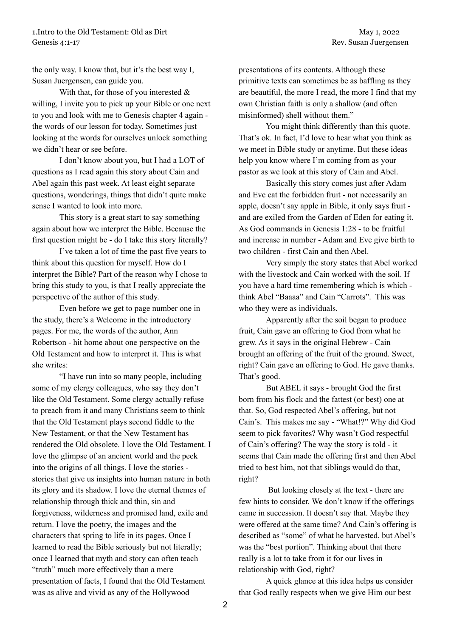the only way. I know that, but it's the best way I, Susan Juergensen, can guide you.

With that, for those of you interested & willing, I invite you to pick up your Bible or one next to you and look with me to Genesis chapter 4 again the words of our lesson for today. Sometimes just looking at the words for ourselves unlock something we didn't hear or see before.

I don't know about you, but I had a LOT of questions as I read again this story about Cain and Abel again this past week. At least eight separate questions, wonderings, things that didn't quite make sense I wanted to look into more.

This story is a great start to say something again about how we interpret the Bible. Because the first question might be - do I take this story literally?

I've taken a lot of time the past five years to think about this question for myself. How do I interpret the Bible? Part of the reason why I chose to bring this study to you, is that I really appreciate the perspective of the author of this study.

Even before we get to page number one in the study, there's a Welcome in the introductory pages. For me, the words of the author, Ann Robertson - hit home about one perspective on the Old Testament and how to interpret it. This is what she writes:

"I have run into so many people, including some of my clergy colleagues, who say they don't like the Old Testament. Some clergy actually refuse to preach from it and many Christians seem to think that the Old Testament plays second fiddle to the New Testament, or that the New Testament has rendered the Old obsolete. I love the Old Testament. I love the glimpse of an ancient world and the peek into the origins of all things. I love the stories stories that give us insights into human nature in both its glory and its shadow. I love the eternal themes of relationship through thick and thin, sin and forgiveness, wilderness and promised land, exile and return. I love the poetry, the images and the characters that spring to life in its pages. Once I learned to read the Bible seriously but not literally; once I learned that myth and story can often teach "truth" much more effectively than a mere presentation of facts, I found that the Old Testament was as alive and vivid as any of the Hollywood

presentations of its contents. Although these primitive texts can sometimes be as baffling as they are beautiful, the more I read, the more I find that my own Christian faith is only a shallow (and often misinformed) shell without them."

You might think differently than this quote. That's ok. In fact, I'd love to hear what you think as we meet in Bible study or anytime. But these ideas help you know where I'm coming from as your pastor as we look at this story of Cain and Abel.

Basically this story comes just after Adam and Eve eat the forbidden fruit - not necessarily an apple, doesn't say apple in Bible, it only says fruit and are exiled from the Garden of Eden for eating it. As God commands in Genesis 1:28 - to be fruitful and increase in number - Adam and Eve give birth to two children - first Cain and then Abel.

Very simply the story states that Abel worked with the livestock and Cain worked with the soil. If you have a hard time remembering which is which think Abel "Baaaa" and Cain "Carrots". This was who they were as individuals.

Apparently after the soil began to produce fruit, Cain gave an offering to God from what he grew. As it says in the original Hebrew - Cain brought an offering of the fruit of the ground. Sweet, right? Cain gave an offering to God. He gave thanks. That's good.

But ABEL it says - brought God the first born from his flock and the fattest (or best) one at that. So, God respected Abel's offering, but not Cain's. This makes me say - "What!?" Why did God seem to pick favorites? Why wasn't God respectful of Cain's offering? The way the story is told - it seems that Cain made the offering first and then Abel tried to best him, not that siblings would do that, right?

But looking closely at the text - there are few hints to consider. We don't know if the offerings came in succession. It doesn't say that. Maybe they were offered at the same time? And Cain's offering is described as "some" of what he harvested, but Abel's was the "best portion". Thinking about that there really is a lot to take from it for our lives in relationship with God, right?

A quick glance at this idea helps us consider that God really respects when we give Him our best